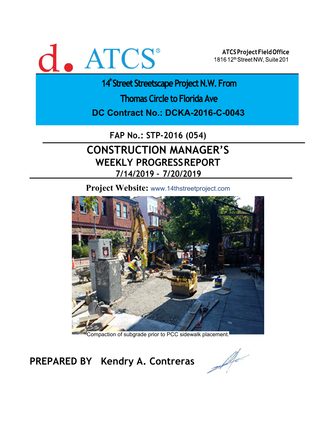# d. ATCS<sup>®</sup>

ATCS Project Field Office 1816 12th Street NW, Suite 201

14<sup>th</sup>Street Streetscape Project N.W. From

**Thomas Circle to Florida Ave** 

**DC Contract No.: DCKA-2016-C-0043** 

**FAP No.: STP-2016 (054)**

## **CONSTRUCTION MANAGER'S WEEKLY PROGRESS REPORT 7/14/2019 – 7/20/2019**

**Project Website:** www.14thstreetproject.com



Compaction of subgrade prior to PCC sidewalk placement.

**PREPARED BY Kendry A. Contreras**

A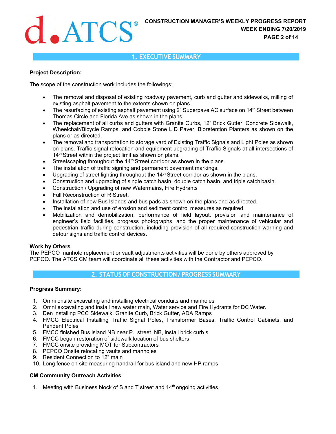## **CONSTRUCTION MANAGER'S WEEKLY PROGRESS REPORT WEEK ENDING 7/20/2019**<br>PAGE 2 of 14 **WEEK ENDING 7/20/2019 PAGE 2 of 14**

#### **1. EXECUTIVE SUMMARY**

#### **Project Description:**

The scope of the construction work includes the followings:

- The removal and disposal of existing roadway pavement, curb and gutter and sidewalks, milling of existing asphalt pavement to the extents shown on plans.
- The resurfacing of existing asphalt pavement using 2" Superpave AC surface on  $14<sup>th</sup>$  Street between Thomas Circle and Florida Ave as shown in the plans.
- The replacement of all curbs and gutters with Granite Curbs, 12" Brick Gutter, Concrete Sidewalk, Wheelchair/Bicycle Ramps, and Cobble Stone LID Paver, Bioretention Planters as shown on the plans or as directed.
- The removal and transportation to storage yard of Existing Traffic Signals and Light Poles as shown on plans. Traffic signal relocation and equipment upgrading of Traffic Signals at all intersections of 14<sup>th</sup> Street within the project limit as shown on plans.
- $\bullet$  Streetscaping throughout the 14<sup>th</sup> Street corridor as shown in the plans.
- The installation of traffic signing and permanent pavement markings.
- Upgrading of street lighting throughout the 14<sup>th</sup> Street corridor as shown in the plans.
- Construction and upgrading of single catch basin, double catch basin, and triple catch basin.
- Construction / Upgrading of new Watermains, Fire Hydrants
- Full Reconstruction of R Street.
- Installation of new Bus Islands and bus pads as shown on the plans and as directed.
- The installation and use of erosion and sediment control measures as required.
- Mobilization and demobilization, performance of field layout, provision and maintenance of engineer's field facilities, progress photographs, and the proper maintenance of vehicular and pedestrian traffic during construction, including provision of all required construction warning and detour signs and traffic control devices.

#### **Work by Others**

The PEPCO manhole replacement or vault adjustments activities will be done by others approved by PEPCO. The ATCS CM team will coordinate all these activities with the Contractor and PEPCO.

## **2. STATUS OF CONSTRUCTION / PROGRESS SUMMARY**

#### **Progress Summary:**

- 1. Omni onsite excavating and installing electrical conduits and manholes
- 2. Omni excavating and install new water main, Water service and Fire Hydrants for DC Water.
- 3. Den installing PCC Sidewalk, Granite Curb, Brick Gutter, ADA Ramps
- 4. FMCC Electrical Installing Traffic Signal Poles, Transformer Bases, Traffic Control Cabinets, and Pendent Poles
- 5. FMCC finished Bus island NB near P. street NB, install brick curb s
- 6. FMCC began restoration of sidewalk location of bus shelters
- 7. FMCC onsite providing MOT for Subcontractors
- 8. PEPCO Onsite relocating vaults and manholes
- 9. Resident Connection to 12" main
- 10. Long fence on site measuring handrail for bus island and new HP ramps

#### **CM Community Outreach Activities**

1. Meeting with Business block of S and T street and  $14<sup>th</sup>$  ongoing activities,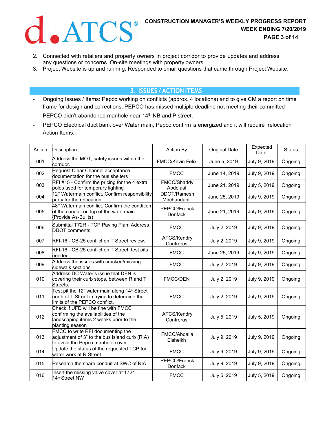

- 2. Connected with retailers and property owners in project corridor to provide updates and address any questions or concerns. On-site meetings with property owners.
- 3. Project Website is up and running. Responded to email questions that came through Project Website.

### **3. ISSUES / ACTION ITEMS**

- Ongoing Issues / Items: Pepco working on conflicts (approx. 4 locations) and to give CM a report on time frame for design and corrections. PEPCO has missed multiple deadline not meeting their committed
- PEPCO didn't abandoned manhole near 14<sup>th</sup> NB and P street.
- PEPCO Electrical duct bank over Water main, Pepco confirm is energized and it will require relocation
- Action Items.-

| Action | Description                                                                                                                               | Action By                      | <b>Original Date</b> | Expected<br>Date | <b>Status</b> |
|--------|-------------------------------------------------------------------------------------------------------------------------------------------|--------------------------------|----------------------|------------------|---------------|
| 001    | Address the MOT, safety issues within the<br>corridor.                                                                                    | <b>FMCC/Kevin Felix</b>        | June 5, 2019         | July 9, 2019     | Ongoing       |
| 002    | Request Clear Channel acceptance<br>documentation for the bus shelters                                                                    | <b>FMCC</b>                    | June 14, 2019        | July 9, 2019     | Ongoing       |
| 003    | RFI #15 - Confirm the pricing for the 4 extra<br>poles used for temporary lighting                                                        | FMCC/Shaddy<br>Abdelaal        | June 21, 2019        | July 5, 2019     | Ongoing       |
| 004    | 12" Watermain conflict. Confirm responsibility<br>party for the relocation                                                                | DDOT/Ramesh<br>Mirchandani     | June 25, 2019        | July 9, 2019     | Ongoing       |
| 005    | 48" Watermain conflict. Confirm the condition<br>of the conduit on top of the watermain.<br>(Provide As-Builts)                           | PEPCO/Franck<br><b>Donfack</b> | June 21, 2019        | July 9, 2019     | Ongoing       |
| 006    | Submittal T72R - TCP Paving Plan. Address<br><b>DDOT</b> comments                                                                         | <b>FMCC</b>                    | July 2, 2019         | July 9, 2019     | Ongoing       |
| 007    | RFI-16 - CB-25 conflict on T Street review.                                                                                               | ATCS/Kendry<br>Contreras       | July 2, 2019         | July 9, 2019     | Ongoing       |
| 008    | RFI-16 - CB-25 conflict on T Street, test pits<br>needed.                                                                                 | <b>FMCC</b>                    | June 25, 2019        | July 9, 2019     | Ongoing       |
| 009    | Address the issues with cracked/missing<br>sidewalk sections                                                                              | <b>FMCC</b>                    | July 2, 2019         | July 9, 2019     | Ongoing       |
| 010    | Address DC Water's issue that DEN is<br>covering their curb stops, between R and T<br>Streets.                                            | <b>FMCC/DEN</b>                | July 2, 2019         | July 9, 2019     | Ongoing       |
| 011    | Test pit the 12" water main along 14 <sup>th</sup> Street<br>north of T Street in trying to determine the<br>imits of the PEPCO conflict. | <b>FMCC</b>                    | July 2, 2019         | July 9, 2019     | Ongoing       |
| 012    | Check if UFD will be fine with FMCC<br>confirming the availabilities of the<br>andscaping items 2 weeks prior to the<br>planting season   | ATCS/Kendry<br>Contreras       | July 5, 2019         | July 5, 2019     | Ongoing       |
| 013    | FMCC to write RFI documenting the<br>adjustment of 3" to the bus island curb (RIA)<br>to avoid the Pepco manhole cover                    | FMCC/Abdalla<br>Elsheikh       | July 9, 2019         | July 9, 2019     | Ongoing       |
| 014    | Update the status of the requested TCP for<br>water work at R Street                                                                      | <b>FMCC</b>                    | July 9, 2019         | July 9, 2019     | Ongoing       |
| 015    | Research the spare conduit at SWC of RIA                                                                                                  | PEPCO/Franck<br>Donfack        | July 9, 2019         | July 9, 2019     | Ongoing       |
| 016    | Insert the missing valve cover at 1724<br>14 <sup>th</sup> Street NW                                                                      | <b>FMCC</b>                    | July 5, 2019         | July 5, 2019     | Ongoing       |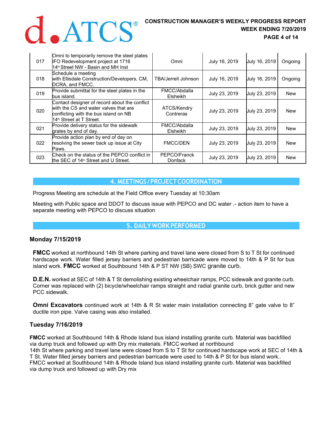

## **CONSTRUCTION MANAGER'S WEEKLY PROGRESS REPORT WEEK ENDING 7/20/2019 WEEK ENDING 7/20/2019 PAGE 4 of 14**

| 017 | Omni to temporarily remove the steel plates<br>IFO Redevelopment project at 1716<br>14 <sup>th</sup> Street NW - Basin and MH Inst                         | Omni                       | July 16, 2019 | July 16, 2019 | Ongoing    |
|-----|------------------------------------------------------------------------------------------------------------------------------------------------------------|----------------------------|---------------|---------------|------------|
| 018 | Schedule a meeting<br>with Ellisdale Construction/Developers, CM,<br>DCRA, and FMCC.                                                                       | <b>TBA/Jerrell Johnson</b> | July 16, 2019 | July 16, 2019 | Ongoing    |
| 019 | Provide submittal for the steel plates in the<br>bus island.                                                                                               | FMCC/Abdalla<br>Elsheikh   | July 23, 2019 | July 23, 2019 | New        |
| 020 | Contact designer of record about the conflict<br>with the CS and water valves that are<br>conflicting with the bus island on NB<br>14™ Street at T Street. | ATCS/Kendry<br>Contreras   | July 23, 2019 | July 23, 2019 | New        |
| 021 | Provide delivery status for the sidewalk<br>grates by end of day.                                                                                          | FMCC/Abdalla<br>Elsheikh   | July 23, 2019 | July 23, 2019 | New        |
| 022 | Provide action plan by end of day on<br>resolving the sewer back up issue at City<br>Paws.                                                                 | <b>FMCC/DEN</b>            | July 23, 2019 | July 23, 2019 | <b>New</b> |
| 023 | Check on the status of the PEPCO conflict in<br>the SEC of 14 <sup>th</sup> Street and U Street.                                                           | PEPCO/Franck<br>Donfack    | July 23, 2019 | July 23, 2019 | New        |

#### **4. MEETINGS / PROJECT COORDINATION**

Progress Meeting are schedule at the Field Office every Tuesday at 10:30am

Meeting with Public space and DDOT to discuss issue with PEPCO and DC water .- action item to have a separate meeting with PEPCO to discuss situation

### **5. DAILY WORK PERFORMED**

#### **Monday 7/15/2019**

**FMCC** worked at northbound 14th St where parking and travel lane were closed from S to T St for continued hardscape work. Water filled jersey barriers and pedestrian barricade were moved to 14th & P St for bus island work. **FMCC** worked at Southbound 14th & P ST NW (SB) SWC granite curb.

**D.E.N.** worked at SEC of 14th & T St demolishing existing wheelchair ramps, PCC sidewalk and granite curb. Corner was replaced with (2) bicycle/wheelchair ramps straight and radial granite curb, brick gutter and new PCC sidewalk.

**Omni Excavators** continued work at 14th & R St water main installation connecting 8" gate valve to 8" ductile iron pipe. Valve casing was also installed.

#### **Tuesday 7/16/2019**

**FMCC** worked at Southbound 14th & Rhode Island bus island installing granite curb. Material was backfilled via dump truck and followed up with Dry mix materials. FMCC worked at northbound 14th St where parking and travel lane were closed from S to T St for continued hardscape work at SEC of 14th & T St. Water filled jersey barriers and pedestrian barricade were used to 14th & P St for bus island work.. FMCC worked at Southbound 14th & Rhode Island bus island installing granite curb. Material was backfilled via dump truck and followed up with Dry mix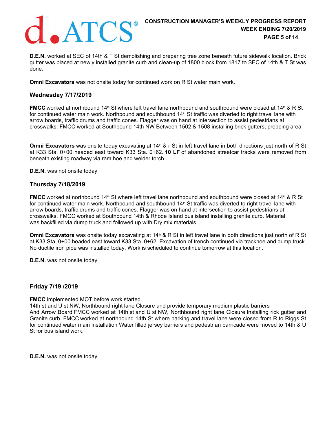

**D.E.N.** worked at SEC of 14th & T St demolishing and preparing tree zone beneath future sidewalk location. Brick gutter was placed at newly installed granite curb and clean-up of 1800 block from 1817 to SEC of 14th & T St was done.

**Omni Excavators** was not onsite today for continued work on R St water main work.

#### **Wednesday 7/17/2019**

**FMCC** worked at northbound 14<sup>th</sup> St where left travel lane northbound and southbound were closed at 14<sup>th</sup> & R St for continued water main work. Northbound and southbound 14<sup>th</sup> St traffic was diverted to right travel lane with arrow boards, traffic drums and traffic cones. Flagger was on hand at intersection to assist pedestrians at crosswalks. FMCC worked at Southbound 14th NW Between 1502 & 1508 installing brick gutters, prepping area

**Omni Excavators** was onsite today excavating at 14<sup>th</sup> & r St in left travel lane in both directions just north of R St at K33 Sta. 0+00 headed east toward K33 Sta. 0+62. **10 LF** of abandoned streetcar tracks were removed from beneath existing roadway via ram hoe and welder torch.

**D.E.N.** was not onsite today

#### **Thursday 7/18/2019**

**FMCC** worked at northbound 14<sup>th</sup> St where left travel lane northbound and southbound were closed at 14<sup>th</sup> & R St for continued water main work. Northbound and southbound  $14<sup>th</sup>$  St traffic was diverted to right travel lane with arrow boards, traffic drums and traffic cones. Flagger was on hand at intersection to assist pedestrians at crosswalks. FMCC worked at Southbound 14th & Rhode Island bus island installing granite curb. Material was backfilled via dump truck and followed up with Dry mix materials.

**Omni Excavators** was onsite today excavating at 14<sup>th</sup> & R St in left travel lane in both directions just north of R St at K33 Sta. 0+00 headed east toward K33 Sta. 0+62. Excavation of trench continued via trackhoe and dump truck. No ductile iron pipe was installed today. Work is scheduled to continue tomorrow at this location.

**D.E.N.** was not onsite today

#### **Friday 7/19 /2019**

**FMCC** implemented MOT before work started.

14th st and U st NW, Northbound right lane Closure and provide temporary medium plastic barriers And Arrow Board FMCC worked at 14th st and U st NW, Northbound right lane Closure Installing rick gutter and Granite curb. FMCC worked at northbound 14th St where parking and travel lane were closed from R to Riggs St for continued water main installation Water filled jersey barriers and pedestrian barricade were moved to 14th & U St for bus island work.

**D.E.N.** was not onsite today.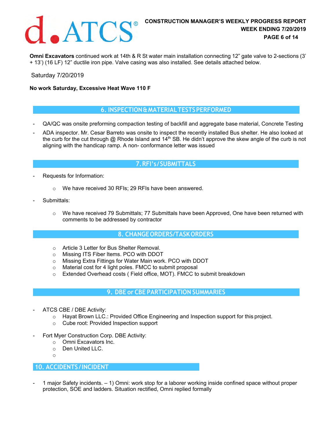

**Omni Excavators** continued work at 14th & R St water main installation connecting 12" gate valve to 2-sections (3' + 13') (16 LF) 12" ductile iron pipe. Valve casing was also installed. See details attached below.

Saturday 7/20/2019

#### **No work Saturday, Excessive Heat Wave 110 F**

#### **6. INSPECTION & MATERIAL TESTS PERFORMED**

- QA/QC was onsite preforming compaction testing of backfill and aggregate base material, Concrete Testing
- ADA inspector. Mr. Cesar Barreto was onsite to inspect the recently installed Bus shelter. He also looked at the curb for the cut through @ Rhode Island and 14<sup>th</sup> SB. He didn't approve the skew angle of the curb is not aligning with the handicap ramp. A non- conformance letter was issued

## **7. RFI's / SUBMITTALS**

- Requests for Information:
	- o We have received 30 RFIs; 29 RFIs have been answered.
- Submittals:
	- $\circ$  We have received 79 Submittals; 77 Submittals have been Approved, One have been returned with comments to be addressed by contractor

#### **8. CHANGE ORDERS/TASK ORDERS**

- o Article 3 Letter for Bus Shelter Removal.
- o Missing ITS Fiber Items. PCO with DDOT
- o Missing Extra Fittings for Water Main work. PCO with DDOT
- o Material cost for 4 light poles. FMCC to submit proposal
- o Extended Overhead costs ( Field office, MOT). FMCC to submit breakdown

### **9. DBE or CBE PARTICIPATION SUMMARIES**

- ATCS CBE / DBE Activity:
	- $\circ$  Hayat Brown LLC.: Provided Office Engineering and Inspection support for this project.
	- o Cube root: Provided Inspection support
- Fort Myer Construction Corp. DBE Activity:
	- o Omni Excavators Inc.
	- o Den United LLC.
	- $\sim$

#### **10. ACCIDENTS / INCIDENT**

1 major Safety incidents.  $-1$ ) Omni: work stop for a laborer working inside confined space without proper protection, SOE and ladders. Situation rectified, Omni replied formally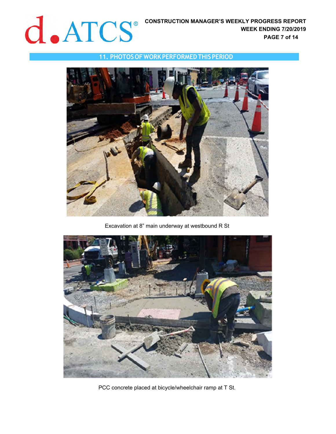#### **11. PHOTOS OF WORK PERFORMED THIS PERIOD**



Excavation at 8" main underway at westbound R St



PCC concrete placed at bicycle/wheelchair ramp at T St.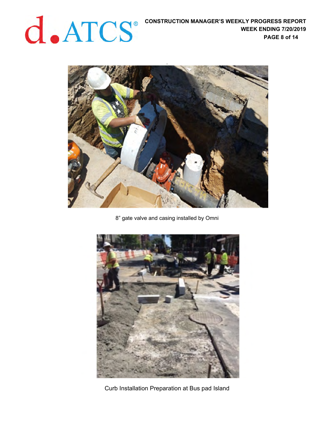## **CONSTRUCTION MANAGER'S WEEKLY PROGRESS REPORT WEEK ENDING 7/20/2019**



8" gate valve and casing installed by Omni



Curb Installation Preparation at Bus pad Island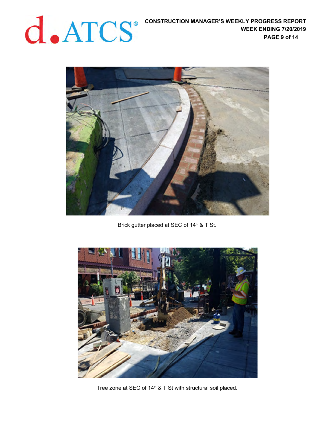

Brick gutter placed at SEC of 14<sup>th</sup> & T St.



Tree zone at SEC of  $14<sup>th</sup>$  & T St with structural soil placed.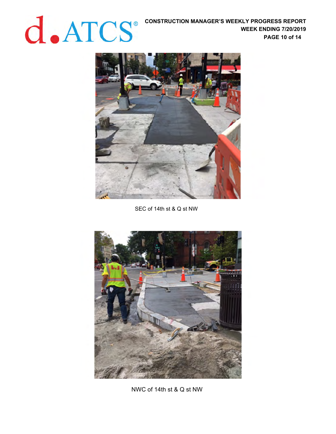**CONSTRUCTION MANAGER'S WEEKLY PROGRESS REPORT WEEK ENDING 7/20/2019**<br>PAGE 10 of 14 **WEEK ENDING 7/20/2019 PAGE 10 of 14** 



SEC of 14th st & Q st NW



NWC of 14th st & Q st NW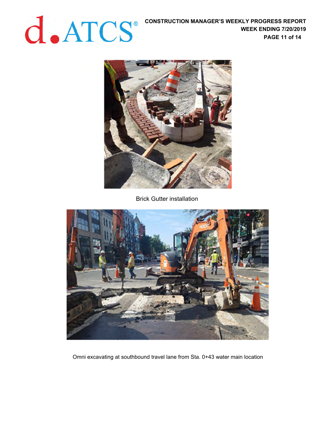**CONSTRUCTION MANAGER'S WEEKLY PROGRESS REPORT WEEK ENDING 7/20/2019 WEEK ENDING 7/20/2019 PAGE 11 of 14** 



Brick Gutter installation



Omni excavating at southbound travel lane from Sta. 0+43 water main location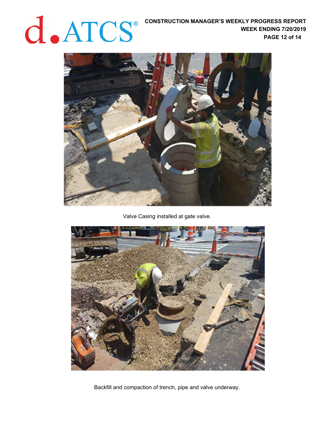

Valve Casing installed at gate valve.



Backfill and compaction of trench, pipe and valve underway.